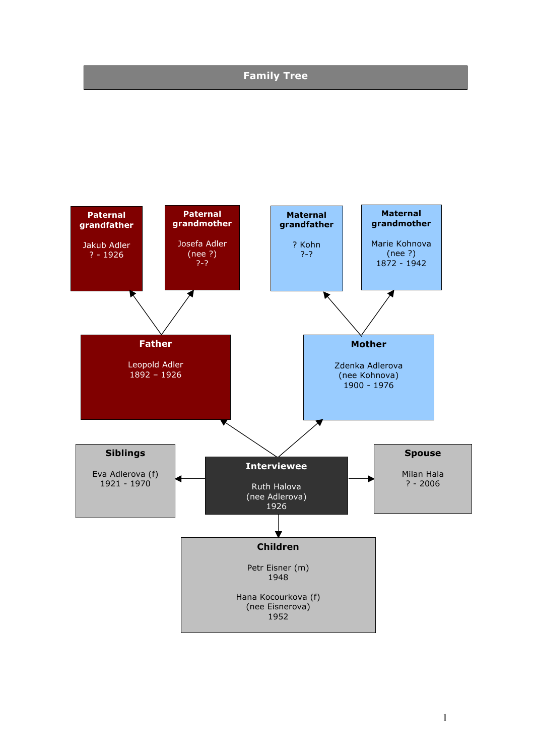### **Family Tree**

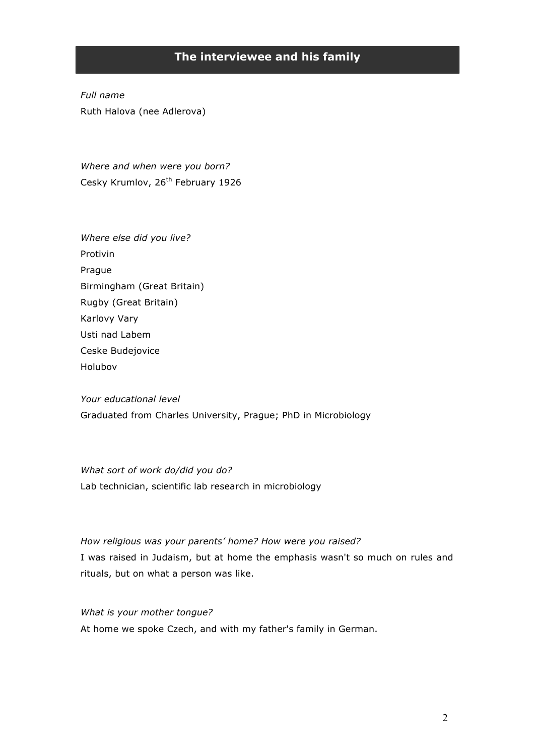## **The interviewee and his family**

*Full name* Ruth Halova (nee Adlerova)

*Where and when were you born?* Cesky Krumlov, 26<sup>th</sup> February 1926

*Where else did you live?* Protivin Prague Birmingham (Great Britain) Rugby (Great Britain) Karlovy Vary Usti nad Labem Ceske Budejovice Holubov

*Your educational level* Graduated from Charles University, Prague; PhD in Microbiology

*What sort of work do/did you do?* Lab technician, scientific lab research in microbiology

*How religious was your parents' home? How were you raised?* I was raised in Judaism, but at home the emphasis wasn't so much on rules and rituals, but on what a person was like.

*What is your mother tongue?* At home we spoke Czech, and with my father's family in German.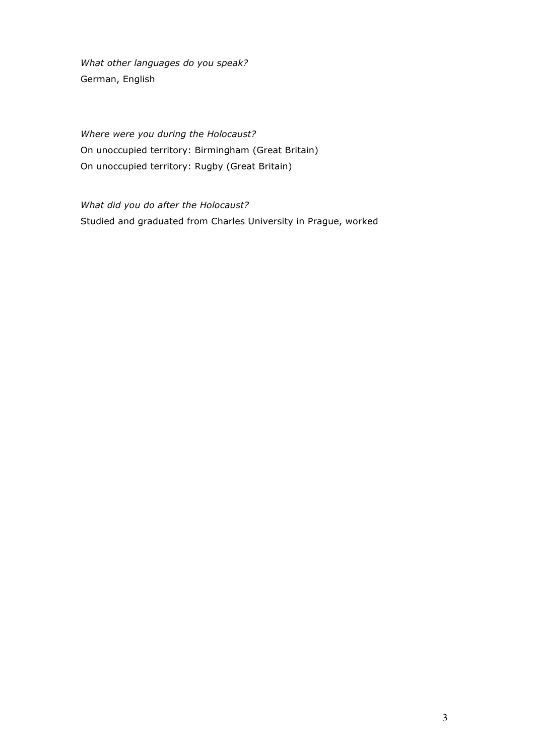*What other languages do you speak?* German, English

*Where were you during the Holocaust?* On unoccupied territory: Birmingham (Great Britain) On unoccupied territory: Rugby (Great Britain)

*What did you do after the Holocaust?* Studied and graduated from Charles University in Prague, worked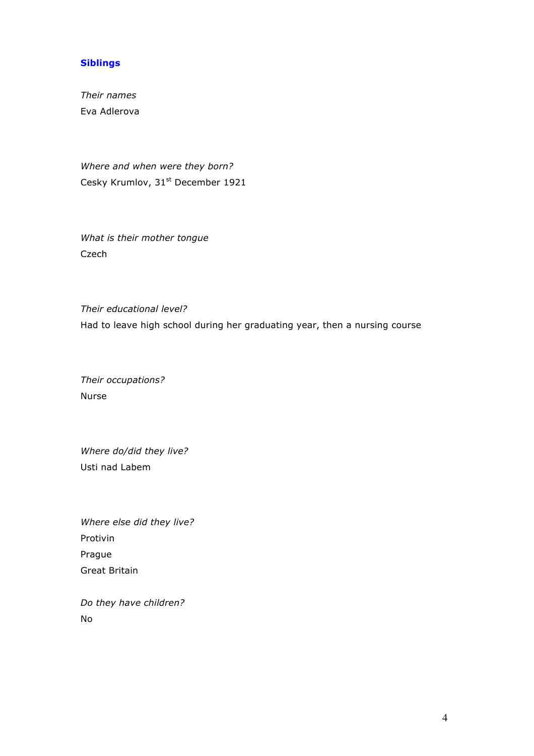### **Siblings**

*Their names* Eva Adlerova

*Where and when were they born?* Cesky Krumlov, 31<sup>st</sup> December 1921

*What is their mother tongue* Czech

*Their educational level?* Had to leave high school during her graduating year, then a nursing course

*Their occupations?* Nurse

*Where do/did they live?*  Usti nad Labem

*Where else did they live?* Protivin Prague Great Britain

*Do they have children?* No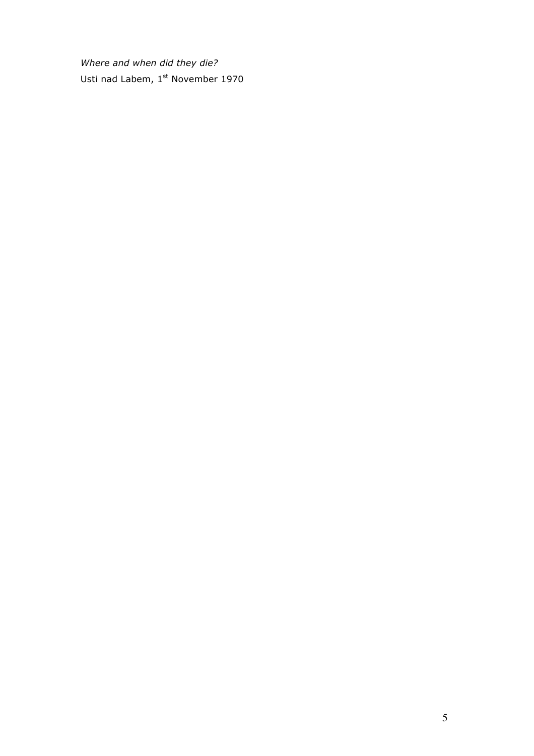*Where and when did they die?* Usti nad Labem, 1st November 1970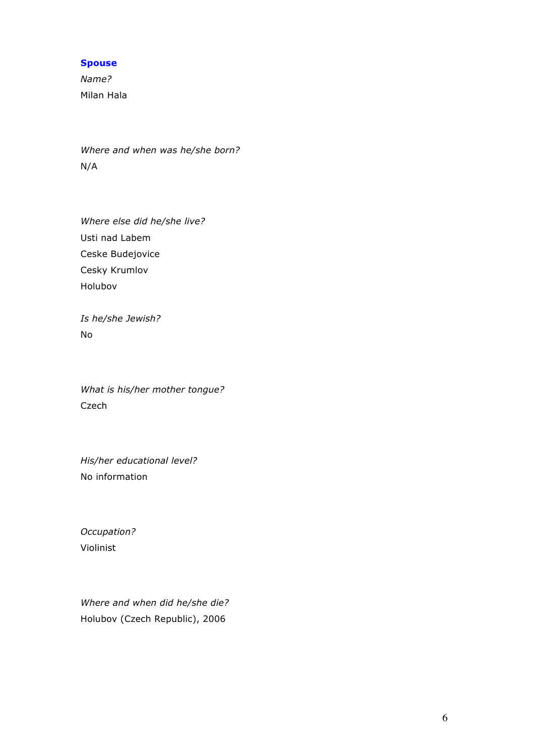#### **Spouse**

*Name?* Milan Hala

*Where and when was he/she born?* N/A

*Where else did he/she live?* Usti nad Labem Ceske Budejovice Cesky Krumlov Holubov

*Is he/she Jewish?* No

*What is his/her mother tongue?* Czech

*His/her educational level?* No information

*Occupation?* Violinist

*Where and when did he/she die?* Holubov (Czech Republic), 2006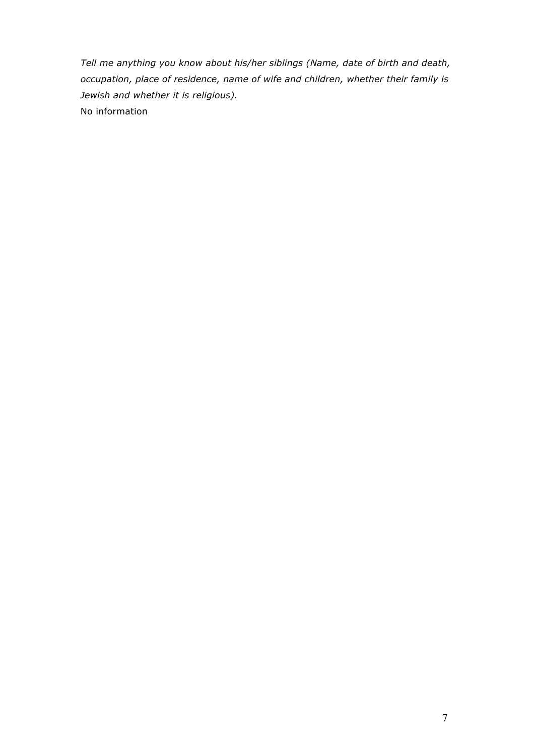*Tell me anything you know about his/her siblings (Name, date of birth and death, occupation, place of residence, name of wife and children, whether their family is Jewish and whether it is religious).* No information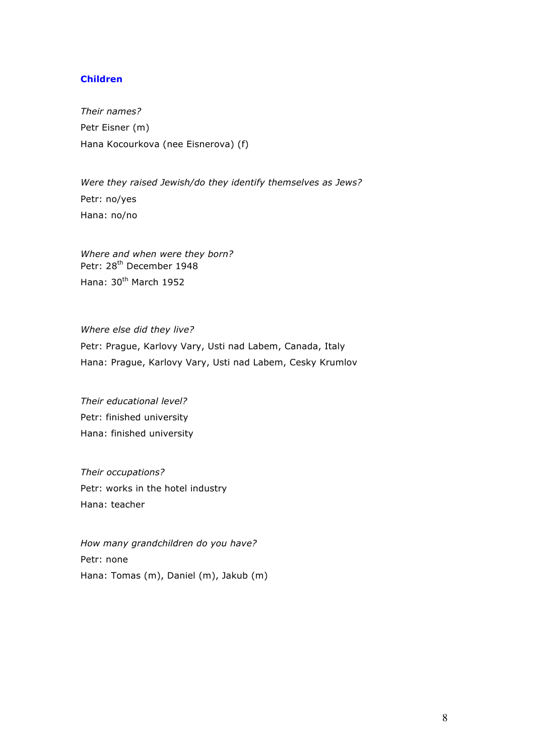#### **Children**

*Their names?* Petr Eisner (m) Hana Kocourkova (nee Eisnerova) (f)

*Were they raised Jewish/do they identify themselves as Jews?* Petr: no/yes Hana: no/no

*Where and when were they born?* Petr: 28<sup>th</sup> December 1948 Hana: 30<sup>th</sup> March 1952

*Where else did they live?* Petr: Prague, Karlovy Vary, Usti nad Labem, Canada, Italy Hana: Prague, Karlovy Vary, Usti nad Labem, Cesky Krumlov

*Their educational level?* Petr: finished university Hana: finished university

*Their occupations?* Petr: works in the hotel industry Hana: teacher

*How many grandchildren do you have?* Petr: none Hana: Tomas (m), Daniel (m), Jakub (m)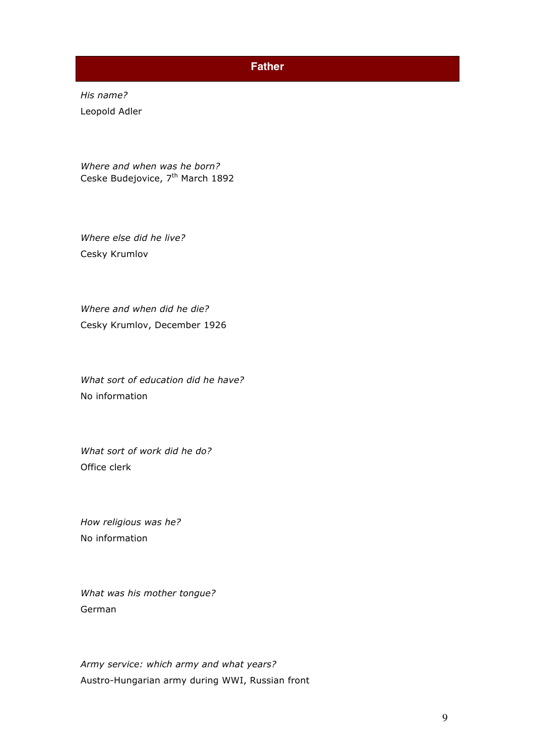### **Father**

*His name?* Leopold Adler

*Where and when was he born?* Ceske Budejovice, 7<sup>th</sup> March 1892

*Where else did he live?* Cesky Krumlov

*Where and when did he die?* Cesky Krumlov, December 1926

*What sort of education did he have?* No information

*What sort of work did he do?* Office clerk

*How religious was he?*  No information

*What was his mother tongue?*  German

*Army service: which army and what years?* Austro-Hungarian army during WWI, Russian front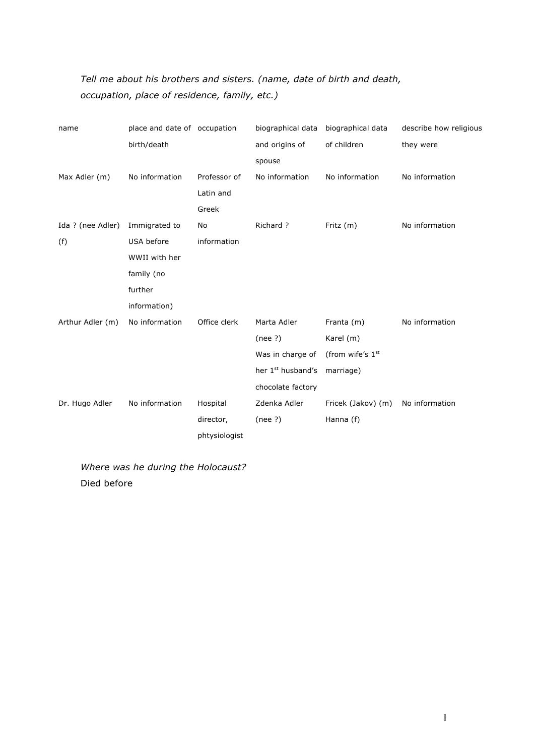# *Tell me about his brothers and sisters. (name, date of birth and death, occupation, place of residence, family, etc.)*

| name              | place and date of occupation |               | biographical data             | biographical data  | describe how religious |
|-------------------|------------------------------|---------------|-------------------------------|--------------------|------------------------|
|                   | birth/death                  |               | and origins of                | of children        | they were              |
|                   |                              |               | spouse                        |                    |                        |
| Max Adler (m)     | No information               | Professor of  | No information                | No information     | No information         |
|                   |                              | Latin and     |                               |                    |                        |
|                   |                              | Greek         |                               |                    |                        |
| Ida ? (nee Adler) | Immigrated to                | No            | Richard ?                     | Fritz $(m)$        | No information         |
| (f)               | USA before                   | information   |                               |                    |                        |
|                   | WWII with her                |               |                               |                    |                        |
|                   | family (no                   |               |                               |                    |                        |
|                   | further                      |               |                               |                    |                        |
|                   | information)                 |               |                               |                    |                        |
| Arthur Adler (m)  | No information               | Office clerk  | Marta Adler                   | Franta (m)         | No information         |
|                   |                              |               | (nee?)                        | Karel (m)          |                        |
|                   |                              |               | Was in charge of              | (from wife's 1st   |                        |
|                   |                              |               | her 1 <sup>st</sup> husband's | marriage)          |                        |
|                   |                              |               | chocolate factory             |                    |                        |
| Dr. Hugo Adler    | No information               | Hospital      | Zdenka Adler                  | Fricek (Jakov) (m) | No information         |
|                   |                              | director,     | (nee?)                        | Hanna (f)          |                        |
|                   |                              | phtysiologist |                               |                    |                        |

*Where was he during the Holocaust?* Died before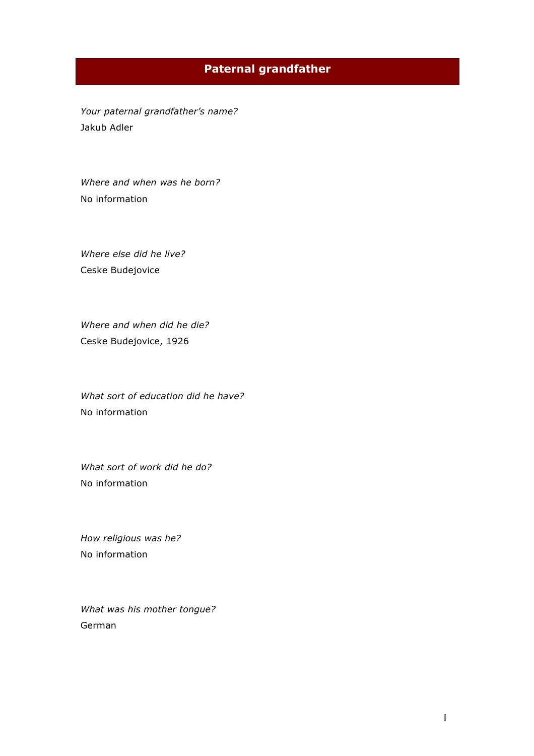# **Paternal grandfather**

*Your paternal grandfather's name?* Jakub Adler

*Where and when was he born?* No information

*Where else did he live?* Ceske Budejovice

*Where and when did he die?*  Ceske Budejovice, 1926

*What sort of education did he have?* No information

*What sort of work did he do?* No information

*How religious was he?*  No information

*What was his mother tongue?*  German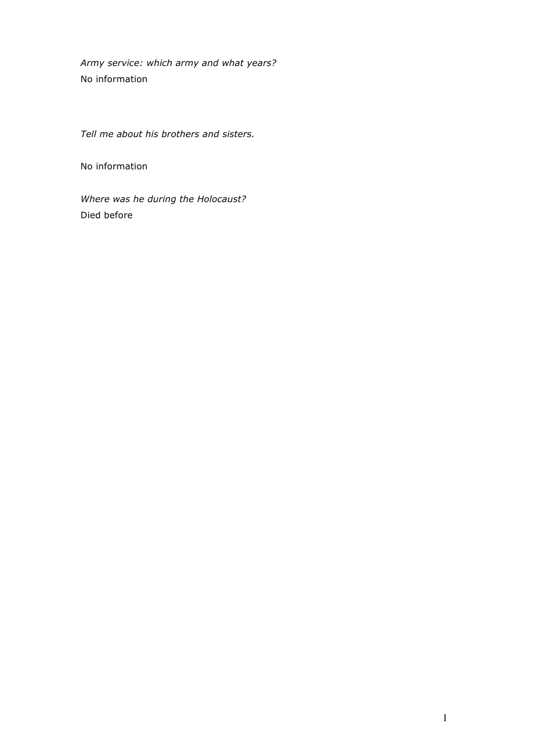*Army service: which army and what years?* No information

*Tell me about his brothers and sisters.*

No information

*Where was he during the Holocaust?* Died before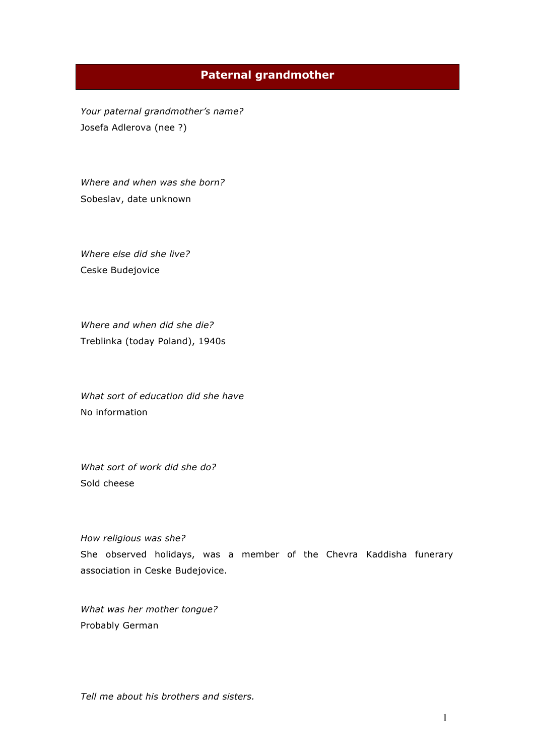### **Paternal grandmother**

*Your paternal grandmother's name?* Josefa Adlerova (nee ?)

*Where and when was she born?*  Sobeslav, date unknown

*Where else did she live?* Ceske Budejovice

*Where and when did she die?* Treblinka (today Poland), 1940s

*What sort of education did she have* No information

*What sort of work did she do?* Sold cheese

#### *How religious was she?*

She observed holidays, was a member of the Chevra Kaddisha funerary association in Ceske Budejovice.

*What was her mother tongue?*  Probably German

*Tell me about his brothers and sisters.*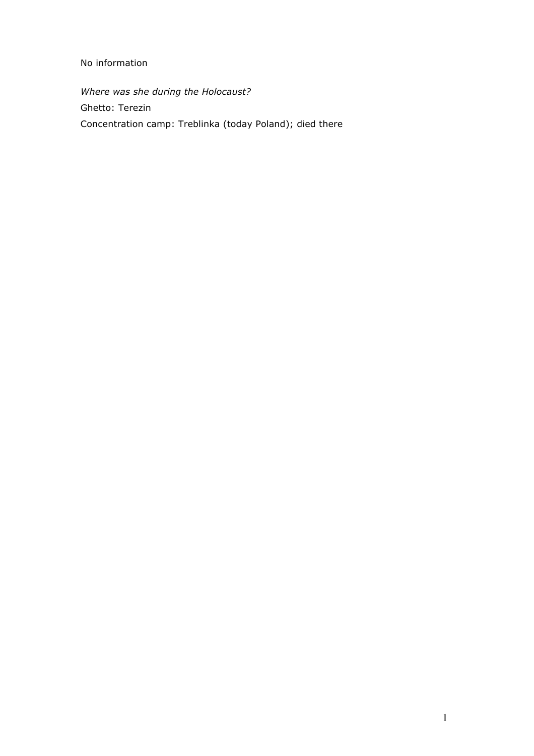### No information

*Where was she during the Holocaust?* Ghetto: Terezin Concentration camp: Treblinka (today Poland); died there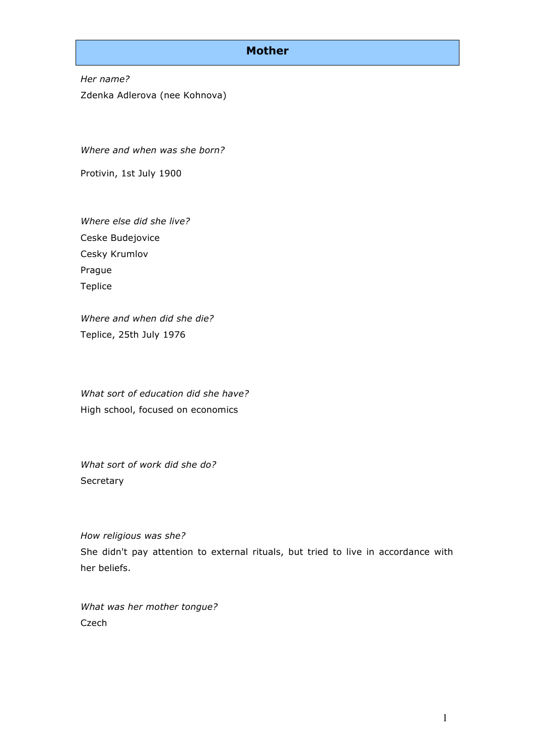### **Mother**

*Her name?* Zdenka Adlerova (nee Kohnova)

*Where and when was she born?*

Protivin, 1st July 1900

*Where else did she live?* Ceske Budejovice Cesky Krumlov Prague Teplice

*Where and when did she die?* Teplice, 25th July 1976

*What sort of education did she have?* High school, focused on economics

*What sort of work did she do?* **Secretary** 

*How religious was she?* She didn't pay attention to external rituals, but tried to live in accordance with her beliefs.

*What was her mother tongue?*  **Czech**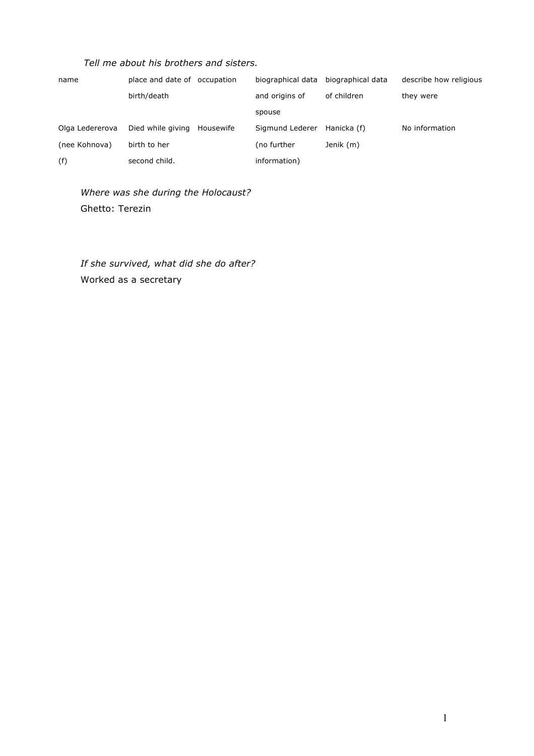### *Tell me about his brothers and sisters.*

| name            | place and date of occupation |           | biographical data | biographical data | describe how religious |
|-----------------|------------------------------|-----------|-------------------|-------------------|------------------------|
|                 | birth/death                  |           | and origins of    | of children       | they were              |
|                 |                              |           | spouse            |                   |                        |
| Olga Ledererova | Died while giving            | Housewife | Sigmund Lederer   | Hanicka (f)       | No information         |
| (nee Kohnova)   | birth to her                 |           | (no further       | Jenik (m)         |                        |
| (f)             | second child.                |           | information)      |                   |                        |

## *Where was she during the Holocaust?* Ghetto: Terezin

*If she survived, what did she do after?* Worked as a secretary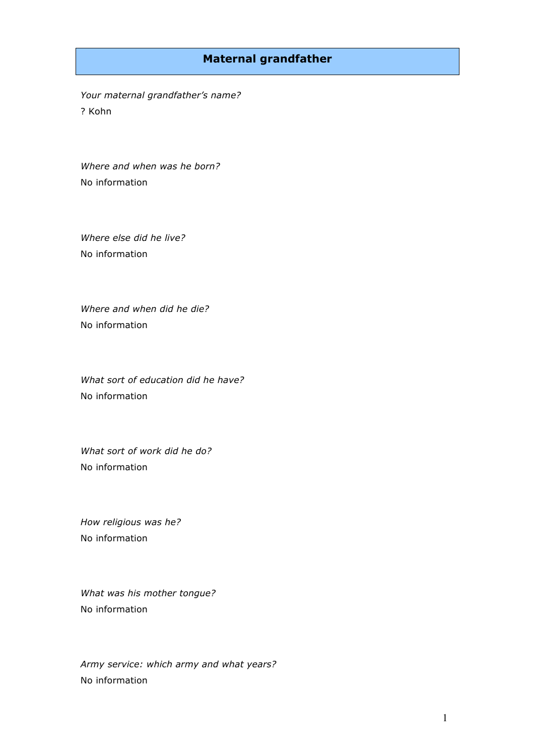### **Maternal grandfather**

*Your maternal grandfather's name?*  ? Kohn

*Where and when was he born?* No information

*Where else did he live?* No information

*Where and when did he die?*  No information

*What sort of education did he have?* No information

*What sort of work did he do?* No information

*How religious was he?*  No information

*What was his mother tongue?*  No information

*Army service: which army and what years?* No information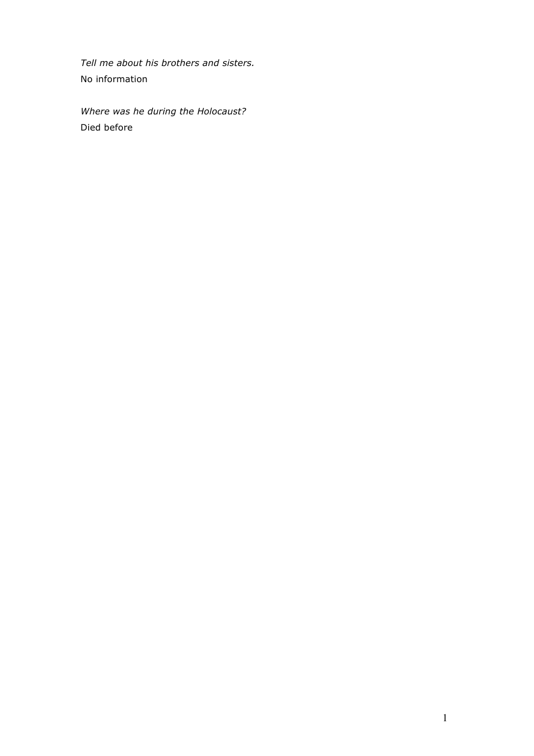*Tell me about his brothers and sisters.* No information

*Where was he during the Holocaust?* Died before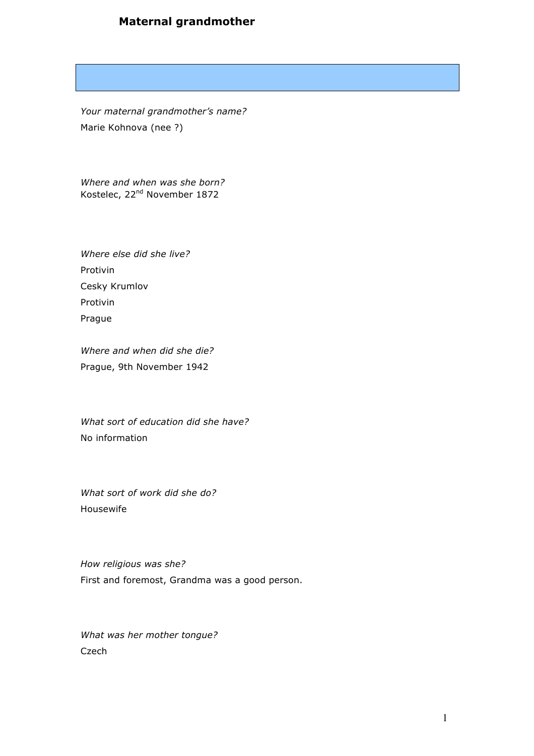# **Maternal grandmother**

*Your maternal grandmother's name?* Marie Kohnova (nee ?)

*Where and when was she born?* Kostelec, 22nd November 1872

*Where else did she live?* Protivin Cesky Krumlov Protivin Prague

*Where and when did she die?* Prague, 9th November 1942

*What sort of education did she have?* No information

*What sort of work did she do?* Housewife

*How religious was she?*  First and foremost, Grandma was a good person.

*What was her mother tongue?*  Czech